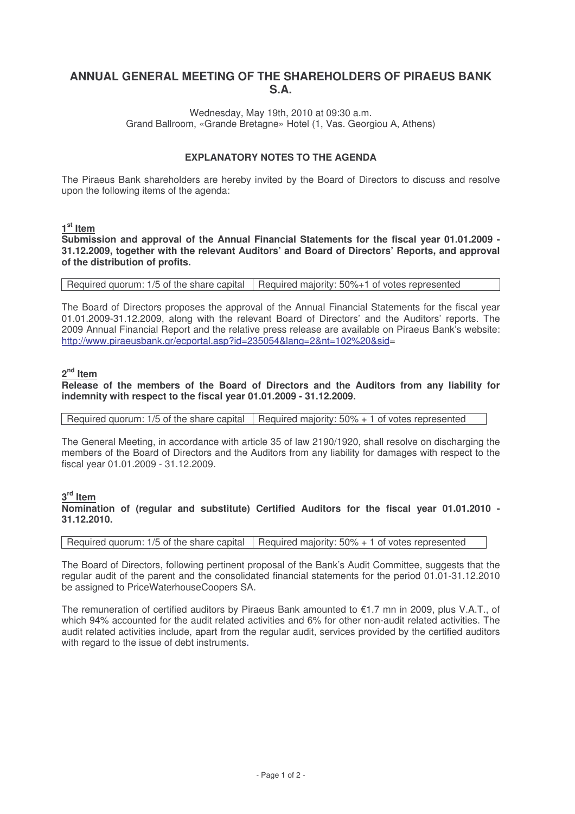# **ANNUAL GENERAL MEETING OF THE SHAREHOLDERS OF PIRAEUS BANK S.A.**

Wednesday, May 19th, 2010 at 09:30 a.m. Grand Ballroom, «Grande Bretagne» Hotel (1, Vas. Georgiou A, Athens)

### **EXPLANATORY NOTES TO THE AGENDA**

The Piraeus Bank shareholders are hereby invited by the Board of Directors to discuss and resolve upon the following items of the agenda:

# **1 st Item**

**Submission and approval of the Annual Financial Statements for the fiscal year 01.01.2009 - 31.12.2009, together with the relevant Auditors' and Board of Directors' Reports, and approval of the distribution of profits.**

Required quorum: 1/5 of the share capital  $\vert$  Required majority: 50%+1 of votes represented

The Board of Directors proposes the approval of the Annual Financial Statements for the fiscal year 01.01.2009-31.12.2009, along with the relevant Board of Directors' and the Auditors' reports. The 2009 Annual Financial Report and the relative press release are available on Piraeus Bank's website: http://www.piraeusbank.gr/ecportal.asp?id=235054&lang=2&nt=102%20&sid=

# **2 nd Item**

**Release of the members of the Board of Directors and the Auditors from any liability for indemnity with respect to the fiscal year 01.01.2009 - 31.12.2009.**

Required quorum: 1/5 of the share capital  $\vert$  Required majority: 50% + 1 of votes represented

The General Meeting, in accordance with article 35 of law 2190/1920, shall resolve on discharging the members of the Board of Directors and the Auditors from any liability for damages with respect to the fiscal year 01.01.2009 - 31.12.2009.

# **3 rd Item**

**Nomination of (regular and substitute) Certified Auditors for the fiscal year 01.01.2010 - 31.12.2010.**

Required quorum: 1/5 of the share capital  $\vert$  Required majority: 50% + 1 of votes represented

The Board of Directors, following pertinent proposal of the Bank's Audit Committee, suggests that the regular audit of the parent and the consolidated financial statements for the period 01.01-31.12.2010 be assigned to PriceWaterhouseCoopers SA.

The remuneration of certified auditors by Piraeus Bank amounted to €1.7 mn in 2009, plus V.A.T., of which 94% accounted for the audit related activities and 6% for other non-audit related activities. The audit related activities include, apart from the regular audit, services provided by the certified auditors with regard to the issue of debt instruments.